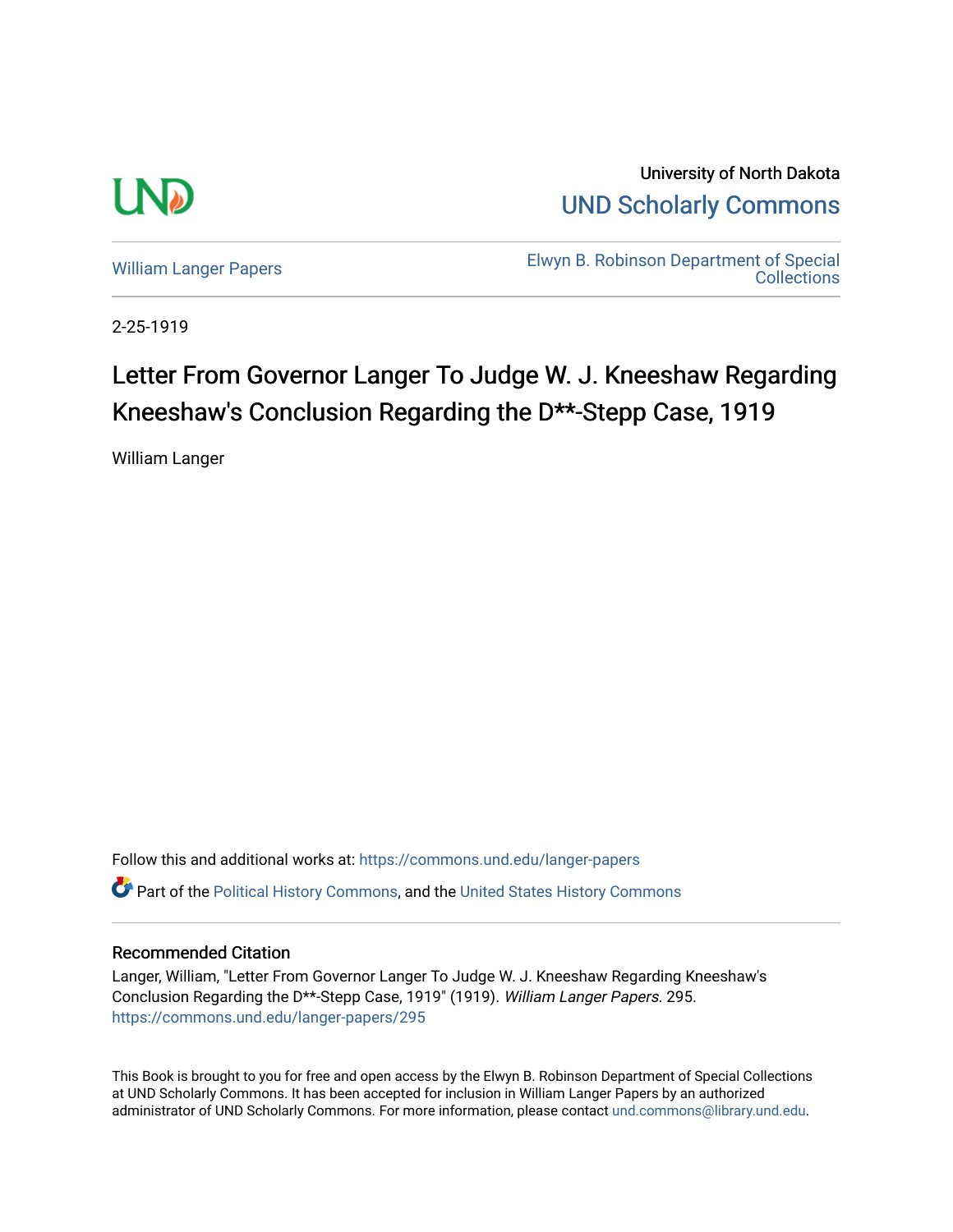

University of North Dakota [UND Scholarly Commons](https://commons.und.edu/) 

[William Langer Papers](https://commons.und.edu/langer-papers) **Elwyn B. Robinson Department of Special** [Collections](https://commons.und.edu/archives) 

2-25-1919

## Letter From Governor Langer To Judge W. J. Kneeshaw Regarding Kneeshaw's Conclusion Regarding the D\*\*-Stepp Case, 1919

William Langer

Follow this and additional works at: [https://commons.und.edu/langer-papers](https://commons.und.edu/langer-papers?utm_source=commons.und.edu%2Flanger-papers%2F295&utm_medium=PDF&utm_campaign=PDFCoverPages)  **C** Part of the [Political History Commons,](http://network.bepress.com/hgg/discipline/505?utm_source=commons.und.edu%2Flanger-papers%2F295&utm_medium=PDF&utm_campaign=PDFCoverPages) and the [United States History Commons](http://network.bepress.com/hgg/discipline/495?utm_source=commons.und.edu%2Flanger-papers%2F295&utm_medium=PDF&utm_campaign=PDFCoverPages)

## Recommended Citation

Langer, William, "Letter From Governor Langer To Judge W. J. Kneeshaw Regarding Kneeshaw's Conclusion Regarding the D\*\*-Stepp Case, 1919" (1919). William Langer Papers. 295. [https://commons.und.edu/langer-papers/295](https://commons.und.edu/langer-papers/295?utm_source=commons.und.edu%2Flanger-papers%2F295&utm_medium=PDF&utm_campaign=PDFCoverPages) 

This Book is brought to you for free and open access by the Elwyn B. Robinson Department of Special Collections at UND Scholarly Commons. It has been accepted for inclusion in William Langer Papers by an authorized administrator of UND Scholarly Commons. For more information, please contact [und.commons@library.und.edu.](mailto:und.commons@library.und.edu)